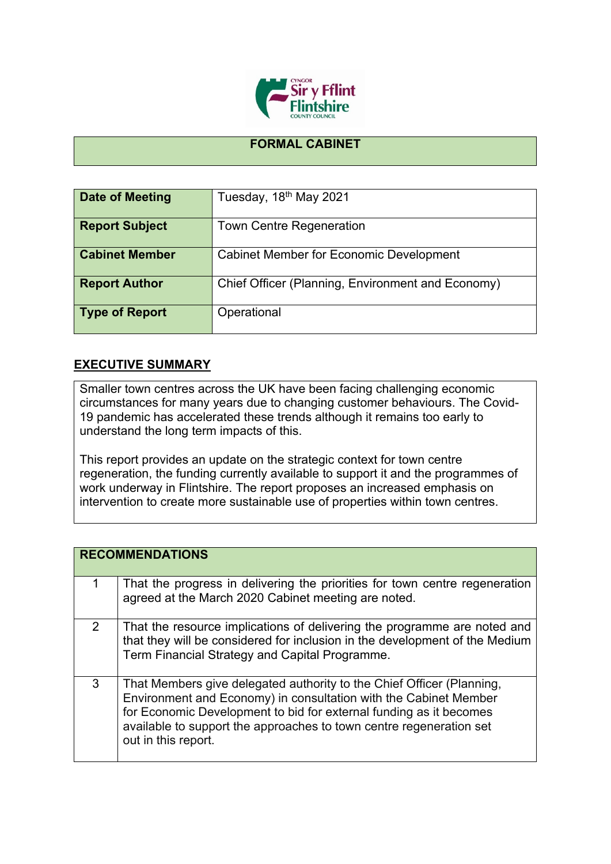

## **FORMAL CABINET**

| <b>Date of Meeting</b> | Tuesday, 18 <sup>th</sup> May 2021                |
|------------------------|---------------------------------------------------|
| <b>Report Subject</b>  | <b>Town Centre Regeneration</b>                   |
| <b>Cabinet Member</b>  | <b>Cabinet Member for Economic Development</b>    |
| <b>Report Author</b>   | Chief Officer (Planning, Environment and Economy) |
| <b>Type of Report</b>  | Operational                                       |

## **EXECUTIVE SUMMARY**

Smaller town centres across the UK have been facing challenging economic circumstances for many years due to changing customer behaviours. The Covid-19 pandemic has accelerated these trends although it remains too early to understand the long term impacts of this.

This report provides an update on the strategic context for town centre regeneration, the funding currently available to support it and the programmes of work underway in Flintshire. The report proposes an increased emphasis on intervention to create more sustainable use of properties within town centres.

|   | <b>RECOMMENDATIONS</b>                                                                                                                                                                                                                                                                                        |
|---|---------------------------------------------------------------------------------------------------------------------------------------------------------------------------------------------------------------------------------------------------------------------------------------------------------------|
|   | That the progress in delivering the priorities for town centre regeneration<br>agreed at the March 2020 Cabinet meeting are noted.                                                                                                                                                                            |
| 2 | That the resource implications of delivering the programme are noted and<br>that they will be considered for inclusion in the development of the Medium<br>Term Financial Strategy and Capital Programme.                                                                                                     |
| 3 | That Members give delegated authority to the Chief Officer (Planning,<br>Environment and Economy) in consultation with the Cabinet Member<br>for Economic Development to bid for external funding as it becomes<br>available to support the approaches to town centre regeneration set<br>out in this report. |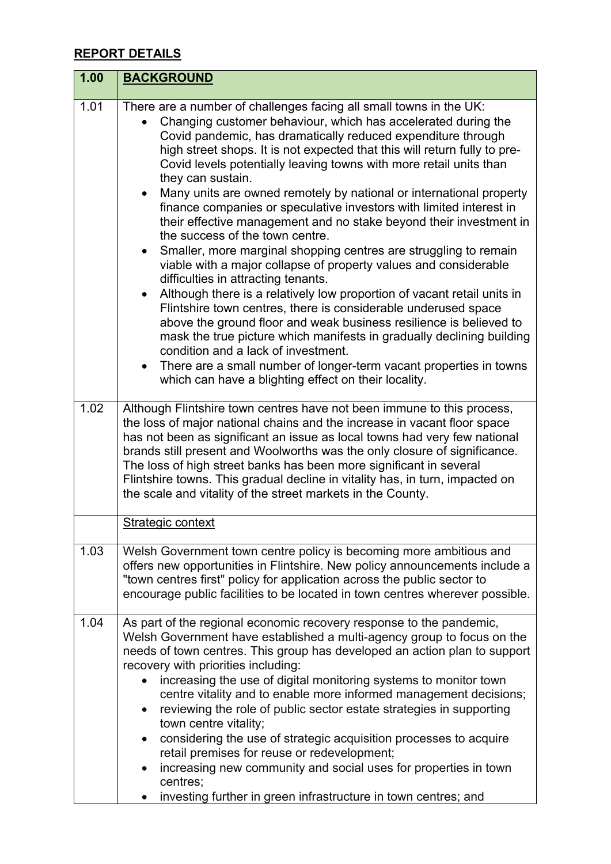## **REPORT DETAILS**

| 1.00 | <b>BACKGROUND</b>                                                                                                                                                                                                                                                                                                                                                                                                                                                                                                                                                                                                                                                                                                                                                                                                                                                                                                                                                                                                                                                                                                                                                                                                                                                                  |
|------|------------------------------------------------------------------------------------------------------------------------------------------------------------------------------------------------------------------------------------------------------------------------------------------------------------------------------------------------------------------------------------------------------------------------------------------------------------------------------------------------------------------------------------------------------------------------------------------------------------------------------------------------------------------------------------------------------------------------------------------------------------------------------------------------------------------------------------------------------------------------------------------------------------------------------------------------------------------------------------------------------------------------------------------------------------------------------------------------------------------------------------------------------------------------------------------------------------------------------------------------------------------------------------|
| 1.01 | There are a number of challenges facing all small towns in the UK:<br>Changing customer behaviour, which has accelerated during the<br>Covid pandemic, has dramatically reduced expenditure through<br>high street shops. It is not expected that this will return fully to pre-<br>Covid levels potentially leaving towns with more retail units than<br>they can sustain.<br>Many units are owned remotely by national or international property<br>finance companies or speculative investors with limited interest in<br>their effective management and no stake beyond their investment in<br>the success of the town centre.<br>Smaller, more marginal shopping centres are struggling to remain<br>viable with a major collapse of property values and considerable<br>difficulties in attracting tenants.<br>Although there is a relatively low proportion of vacant retail units in<br>Flintshire town centres, there is considerable underused space<br>above the ground floor and weak business resilience is believed to<br>mask the true picture which manifests in gradually declining building<br>condition and a lack of investment.<br>There are a small number of longer-term vacant properties in towns<br>which can have a blighting effect on their locality. |
| 1.02 | Although Flintshire town centres have not been immune to this process,<br>the loss of major national chains and the increase in vacant floor space<br>has not been as significant an issue as local towns had very few national<br>brands still present and Woolworths was the only closure of significance.<br>The loss of high street banks has been more significant in several<br>Flintshire towns. This gradual decline in vitality has, in turn, impacted on<br>the scale and vitality of the street markets in the County.                                                                                                                                                                                                                                                                                                                                                                                                                                                                                                                                                                                                                                                                                                                                                  |
|      | Strategic context                                                                                                                                                                                                                                                                                                                                                                                                                                                                                                                                                                                                                                                                                                                                                                                                                                                                                                                                                                                                                                                                                                                                                                                                                                                                  |
| 1.03 | Welsh Government town centre policy is becoming more ambitious and<br>offers new opportunities in Flintshire. New policy announcements include a<br>"town centres first" policy for application across the public sector to<br>encourage public facilities to be located in town centres wherever possible.                                                                                                                                                                                                                                                                                                                                                                                                                                                                                                                                                                                                                                                                                                                                                                                                                                                                                                                                                                        |
| 1.04 | As part of the regional economic recovery response to the pandemic,<br>Welsh Government have established a multi-agency group to focus on the<br>needs of town centres. This group has developed an action plan to support<br>recovery with priorities including:<br>increasing the use of digital monitoring systems to monitor town<br>centre vitality and to enable more informed management decisions;<br>reviewing the role of public sector estate strategies in supporting<br>town centre vitality;<br>considering the use of strategic acquisition processes to acquire<br>retail premises for reuse or redevelopment;<br>increasing new community and social uses for properties in town<br>centres;<br>investing further in green infrastructure in town centres; and                                                                                                                                                                                                                                                                                                                                                                                                                                                                                                    |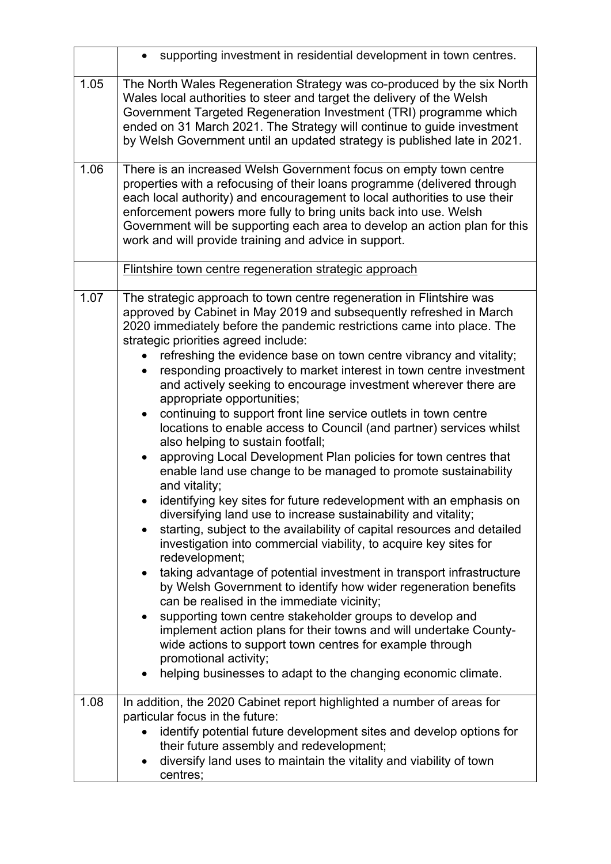|      | supporting investment in residential development in town centres.                                                                                                                                                                                                                                                                                                                                                                                                                                                                                                                                                                                                                                                                                                                                                                                                                                                                                                                                                                                                                                                                                                                                                                                                                                                                                                                                                                                                                                                                                                                                                                               |
|------|-------------------------------------------------------------------------------------------------------------------------------------------------------------------------------------------------------------------------------------------------------------------------------------------------------------------------------------------------------------------------------------------------------------------------------------------------------------------------------------------------------------------------------------------------------------------------------------------------------------------------------------------------------------------------------------------------------------------------------------------------------------------------------------------------------------------------------------------------------------------------------------------------------------------------------------------------------------------------------------------------------------------------------------------------------------------------------------------------------------------------------------------------------------------------------------------------------------------------------------------------------------------------------------------------------------------------------------------------------------------------------------------------------------------------------------------------------------------------------------------------------------------------------------------------------------------------------------------------------------------------------------------------|
| 1.05 | The North Wales Regeneration Strategy was co-produced by the six North<br>Wales local authorities to steer and target the delivery of the Welsh<br>Government Targeted Regeneration Investment (TRI) programme which<br>ended on 31 March 2021. The Strategy will continue to guide investment<br>by Welsh Government until an updated strategy is published late in 2021.                                                                                                                                                                                                                                                                                                                                                                                                                                                                                                                                                                                                                                                                                                                                                                                                                                                                                                                                                                                                                                                                                                                                                                                                                                                                      |
| 1.06 | There is an increased Welsh Government focus on empty town centre<br>properties with a refocusing of their loans programme (delivered through<br>each local authority) and encouragement to local authorities to use their<br>enforcement powers more fully to bring units back into use. Welsh<br>Government will be supporting each area to develop an action plan for this<br>work and will provide training and advice in support.                                                                                                                                                                                                                                                                                                                                                                                                                                                                                                                                                                                                                                                                                                                                                                                                                                                                                                                                                                                                                                                                                                                                                                                                          |
|      | Flintshire town centre regeneration strategic approach                                                                                                                                                                                                                                                                                                                                                                                                                                                                                                                                                                                                                                                                                                                                                                                                                                                                                                                                                                                                                                                                                                                                                                                                                                                                                                                                                                                                                                                                                                                                                                                          |
| 1.07 | The strategic approach to town centre regeneration in Flintshire was<br>approved by Cabinet in May 2019 and subsequently refreshed in March<br>2020 immediately before the pandemic restrictions came into place. The<br>strategic priorities agreed include:<br>refreshing the evidence base on town centre vibrancy and vitality;<br>responding proactively to market interest in town centre investment<br>and actively seeking to encourage investment wherever there are<br>appropriate opportunities;<br>continuing to support front line service outlets in town centre<br>locations to enable access to Council (and partner) services whilst<br>also helping to sustain footfall;<br>approving Local Development Plan policies for town centres that<br>enable land use change to be managed to promote sustainability<br>and vitality;<br>identifying key sites for future redevelopment with an emphasis on<br>diversifying land use to increase sustainability and vitality;<br>starting, subject to the availability of capital resources and detailed<br>investigation into commercial viability, to acquire key sites for<br>redevelopment;<br>taking advantage of potential investment in transport infrastructure<br>by Welsh Government to identify how wider regeneration benefits<br>can be realised in the immediate vicinity;<br>supporting town centre stakeholder groups to develop and<br>٠<br>implement action plans for their towns and will undertake County-<br>wide actions to support town centres for example through<br>promotional activity;<br>helping businesses to adapt to the changing economic climate. |
| 1.08 | In addition, the 2020 Cabinet report highlighted a number of areas for                                                                                                                                                                                                                                                                                                                                                                                                                                                                                                                                                                                                                                                                                                                                                                                                                                                                                                                                                                                                                                                                                                                                                                                                                                                                                                                                                                                                                                                                                                                                                                          |
|      | particular focus in the future:<br>identify potential future development sites and develop options for<br>their future assembly and redevelopment;<br>diversify land uses to maintain the vitality and viability of town<br>centres;                                                                                                                                                                                                                                                                                                                                                                                                                                                                                                                                                                                                                                                                                                                                                                                                                                                                                                                                                                                                                                                                                                                                                                                                                                                                                                                                                                                                            |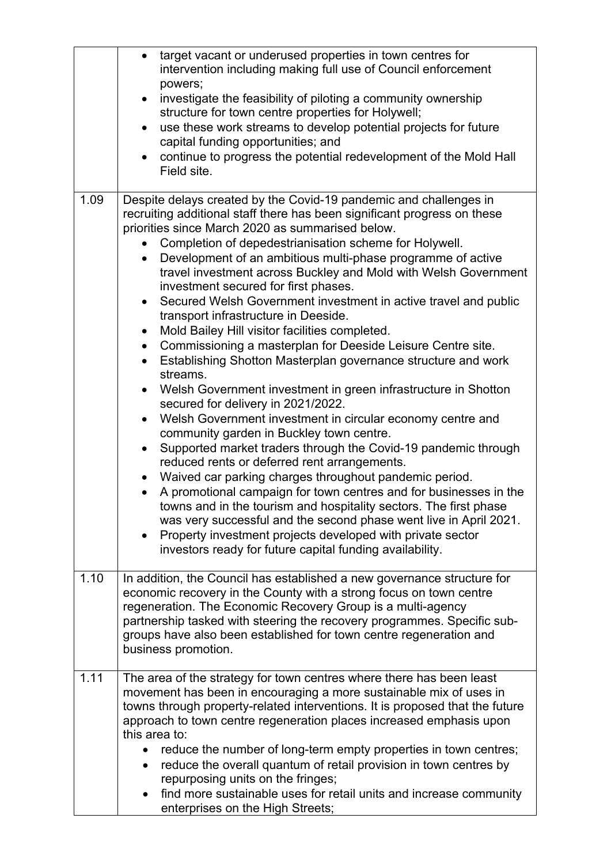|      | target vacant or underused properties in town centres for<br>$\bullet$<br>intervention including making full use of Council enforcement<br>powers;<br>investigate the feasibility of piloting a community ownership<br>$\bullet$<br>structure for town centre properties for Holywell;<br>use these work streams to develop potential projects for future<br>$\bullet$<br>capital funding opportunities; and<br>continue to progress the potential redevelopment of the Mold Hall<br>Field site.                                                                                                                                                                                                                                                                                                                                                                                                                                                                                                                                                                                                                                                                                                                                                                                                                                                                                                                                                                                                                                                       |
|------|--------------------------------------------------------------------------------------------------------------------------------------------------------------------------------------------------------------------------------------------------------------------------------------------------------------------------------------------------------------------------------------------------------------------------------------------------------------------------------------------------------------------------------------------------------------------------------------------------------------------------------------------------------------------------------------------------------------------------------------------------------------------------------------------------------------------------------------------------------------------------------------------------------------------------------------------------------------------------------------------------------------------------------------------------------------------------------------------------------------------------------------------------------------------------------------------------------------------------------------------------------------------------------------------------------------------------------------------------------------------------------------------------------------------------------------------------------------------------------------------------------------------------------------------------------|
| 1.09 | Despite delays created by the Covid-19 pandemic and challenges in<br>recruiting additional staff there has been significant progress on these<br>priorities since March 2020 as summarised below.<br>Completion of depedestrianisation scheme for Holywell.<br>Development of an ambitious multi-phase programme of active<br>$\bullet$<br>travel investment across Buckley and Mold with Welsh Government<br>investment secured for first phases.<br>Secured Welsh Government investment in active travel and public<br>$\bullet$<br>transport infrastructure in Deeside.<br>Mold Bailey Hill visitor facilities completed.<br>Commissioning a masterplan for Deeside Leisure Centre site.<br>$\bullet$<br>Establishing Shotton Masterplan governance structure and work<br>streams.<br>Welsh Government investment in green infrastructure in Shotton<br>$\bullet$<br>secured for delivery in 2021/2022.<br>Welsh Government investment in circular economy centre and<br>community garden in Buckley town centre.<br>Supported market traders through the Covid-19 pandemic through<br>reduced rents or deferred rent arrangements.<br>Waived car parking charges throughout pandemic period.<br>$\bullet$<br>A promotional campaign for town centres and for businesses in the<br>towns and in the tourism and hospitality sectors. The first phase<br>was very successful and the second phase went live in April 2021.<br>Property investment projects developed with private sector<br>investors ready for future capital funding availability. |
| 1.10 | In addition, the Council has established a new governance structure for<br>economic recovery in the County with a strong focus on town centre<br>regeneration. The Economic Recovery Group is a multi-agency<br>partnership tasked with steering the recovery programmes. Specific sub-<br>groups have also been established for town centre regeneration and<br>business promotion.                                                                                                                                                                                                                                                                                                                                                                                                                                                                                                                                                                                                                                                                                                                                                                                                                                                                                                                                                                                                                                                                                                                                                                   |
| 1.11 | The area of the strategy for town centres where there has been least<br>movement has been in encouraging a more sustainable mix of uses in<br>towns through property-related interventions. It is proposed that the future<br>approach to town centre regeneration places increased emphasis upon<br>this area to:<br>reduce the number of long-term empty properties in town centres;<br>reduce the overall quantum of retail provision in town centres by<br>$\bullet$<br>repurposing units on the fringes;<br>find more sustainable uses for retail units and increase community<br>$\bullet$<br>enterprises on the High Streets;                                                                                                                                                                                                                                                                                                                                                                                                                                                                                                                                                                                                                                                                                                                                                                                                                                                                                                                   |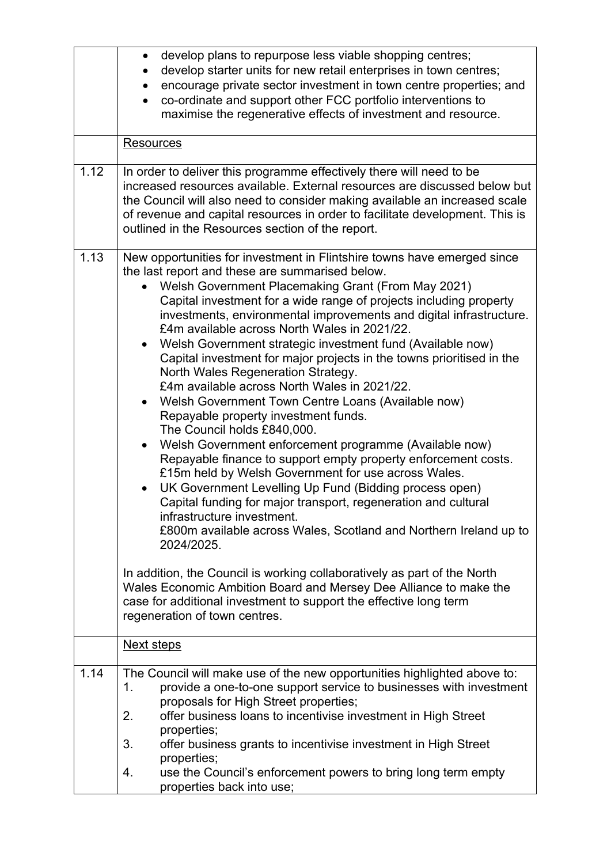|      | develop plans to repurpose less viable shopping centres;<br>$\bullet$<br>develop starter units for new retail enterprises in town centres;<br>encourage private sector investment in town centre properties; and<br>co-ordinate and support other FCC portfolio interventions to<br>maximise the regenerative effects of investment and resource.<br><b>Resources</b>                                                                                                                                                                                                                                                                                                                                                                                                                                                                                                                                                                                                                                                                                                                                                                                                                                                                                                                                                                                                                                                                         |
|------|-----------------------------------------------------------------------------------------------------------------------------------------------------------------------------------------------------------------------------------------------------------------------------------------------------------------------------------------------------------------------------------------------------------------------------------------------------------------------------------------------------------------------------------------------------------------------------------------------------------------------------------------------------------------------------------------------------------------------------------------------------------------------------------------------------------------------------------------------------------------------------------------------------------------------------------------------------------------------------------------------------------------------------------------------------------------------------------------------------------------------------------------------------------------------------------------------------------------------------------------------------------------------------------------------------------------------------------------------------------------------------------------------------------------------------------------------|
| 1.12 | In order to deliver this programme effectively there will need to be<br>increased resources available. External resources are discussed below but                                                                                                                                                                                                                                                                                                                                                                                                                                                                                                                                                                                                                                                                                                                                                                                                                                                                                                                                                                                                                                                                                                                                                                                                                                                                                             |
|      | the Council will also need to consider making available an increased scale<br>of revenue and capital resources in order to facilitate development. This is<br>outlined in the Resources section of the report.                                                                                                                                                                                                                                                                                                                                                                                                                                                                                                                                                                                                                                                                                                                                                                                                                                                                                                                                                                                                                                                                                                                                                                                                                                |
| 1.13 | New opportunities for investment in Flintshire towns have emerged since<br>the last report and these are summarised below.<br>Welsh Government Placemaking Grant (From May 2021)<br>Capital investment for a wide range of projects including property<br>investments, environmental improvements and digital infrastructure.<br>£4m available across North Wales in 2021/22.<br>Welsh Government strategic investment fund (Available now)<br>Capital investment for major projects in the towns prioritised in the<br>North Wales Regeneration Strategy.<br>£4m available across North Wales in 2021/22.<br>• Welsh Government Town Centre Loans (Available now)<br>Repayable property investment funds.<br>The Council holds £840,000.<br>Welsh Government enforcement programme (Available now)<br>$\bullet$<br>Repayable finance to support empty property enforcement costs.<br>£15m held by Welsh Government for use across Wales.<br>UK Government Levelling Up Fund (Bidding process open)<br>Capital funding for major transport, regeneration and cultural<br>infrastructure investment.<br>£800m available across Wales, Scotland and Northern Ireland up to<br>2024/2025.<br>In addition, the Council is working collaboratively as part of the North<br>Wales Economic Ambition Board and Mersey Dee Alliance to make the<br>case for additional investment to support the effective long term<br>regeneration of town centres. |
|      | Next steps                                                                                                                                                                                                                                                                                                                                                                                                                                                                                                                                                                                                                                                                                                                                                                                                                                                                                                                                                                                                                                                                                                                                                                                                                                                                                                                                                                                                                                    |
| 1.14 | The Council will make use of the new opportunities highlighted above to:<br>provide a one-to-one support service to businesses with investment<br>1.<br>proposals for High Street properties;<br>2.<br>offer business loans to incentivise investment in High Street                                                                                                                                                                                                                                                                                                                                                                                                                                                                                                                                                                                                                                                                                                                                                                                                                                                                                                                                                                                                                                                                                                                                                                          |
|      | properties;                                                                                                                                                                                                                                                                                                                                                                                                                                                                                                                                                                                                                                                                                                                                                                                                                                                                                                                                                                                                                                                                                                                                                                                                                                                                                                                                                                                                                                   |
|      | offer business grants to incentivise investment in High Street<br>3.<br>properties;                                                                                                                                                                                                                                                                                                                                                                                                                                                                                                                                                                                                                                                                                                                                                                                                                                                                                                                                                                                                                                                                                                                                                                                                                                                                                                                                                           |
|      | use the Council's enforcement powers to bring long term empty<br>4.<br>properties back into use;                                                                                                                                                                                                                                                                                                                                                                                                                                                                                                                                                                                                                                                                                                                                                                                                                                                                                                                                                                                                                                                                                                                                                                                                                                                                                                                                              |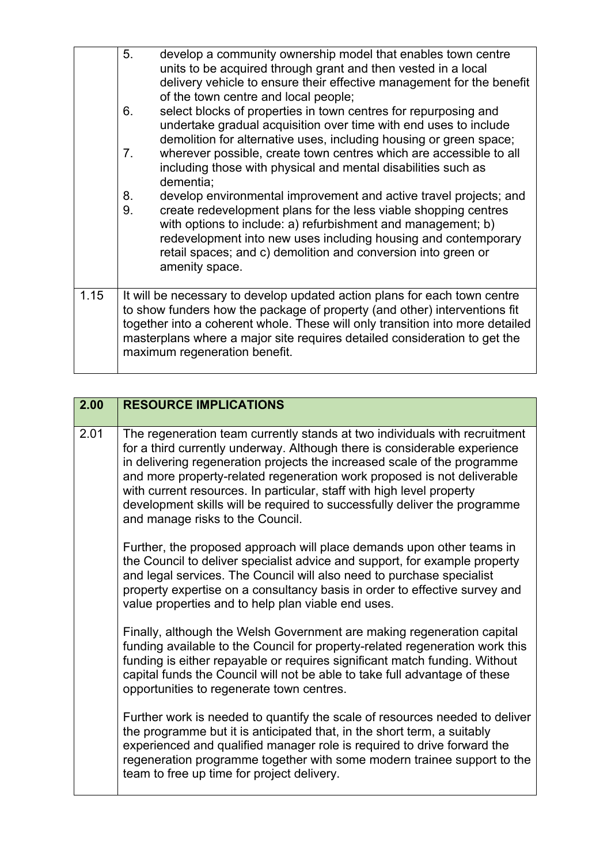|      | 5.<br>develop a community ownership model that enables town centre<br>units to be acquired through grant and then vested in a local<br>delivery vehicle to ensure their effective management for the benefit<br>of the town centre and local people;                                                                                                                  |
|------|-----------------------------------------------------------------------------------------------------------------------------------------------------------------------------------------------------------------------------------------------------------------------------------------------------------------------------------------------------------------------|
|      | select blocks of properties in town centres for repurposing and<br>6.<br>undertake gradual acquisition over time with end uses to include<br>demolition for alternative uses, including housing or green space;                                                                                                                                                       |
|      | wherever possible, create town centres which are accessible to all<br>7 <sub>1</sub><br>including those with physical and mental disabilities such as<br>dementia;                                                                                                                                                                                                    |
|      | develop environmental improvement and active travel projects; and<br>8.<br>9.<br>create redevelopment plans for the less viable shopping centres<br>with options to include: a) refurbishment and management; b)<br>redevelopment into new uses including housing and contemporary<br>retail spaces; and c) demolition and conversion into green or<br>amenity space. |
| 1.15 | It will be necessary to develop updated action plans for each town centre<br>to show funders how the package of property (and other) interventions fit<br>together into a coherent whole. These will only transition into more detailed<br>masterplans where a major site requires detailed consideration to get the<br>maximum regeneration benefit.                 |

| 2.00 | <b>RESOURCE IMPLICATIONS</b>                                                                                                                                                                                                                                                                                                                                                                                                                                                                             |
|------|----------------------------------------------------------------------------------------------------------------------------------------------------------------------------------------------------------------------------------------------------------------------------------------------------------------------------------------------------------------------------------------------------------------------------------------------------------------------------------------------------------|
| 2.01 | The regeneration team currently stands at two individuals with recruitment<br>for a third currently underway. Although there is considerable experience<br>in delivering regeneration projects the increased scale of the programme<br>and more property-related regeneration work proposed is not deliverable<br>with current resources. In particular, staff with high level property<br>development skills will be required to successfully deliver the programme<br>and manage risks to the Council. |
|      | Further, the proposed approach will place demands upon other teams in<br>the Council to deliver specialist advice and support, for example property<br>and legal services. The Council will also need to purchase specialist<br>property expertise on a consultancy basis in order to effective survey and<br>value properties and to help plan viable end uses.                                                                                                                                         |
|      | Finally, although the Welsh Government are making regeneration capital<br>funding available to the Council for property-related regeneration work this<br>funding is either repayable or requires significant match funding. Without<br>capital funds the Council will not be able to take full advantage of these<br>opportunities to regenerate town centres.                                                                                                                                          |
|      | Further work is needed to quantify the scale of resources needed to deliver<br>the programme but it is anticipated that, in the short term, a suitably<br>experienced and qualified manager role is required to drive forward the<br>regeneration programme together with some modern trainee support to the<br>team to free up time for project delivery.                                                                                                                                               |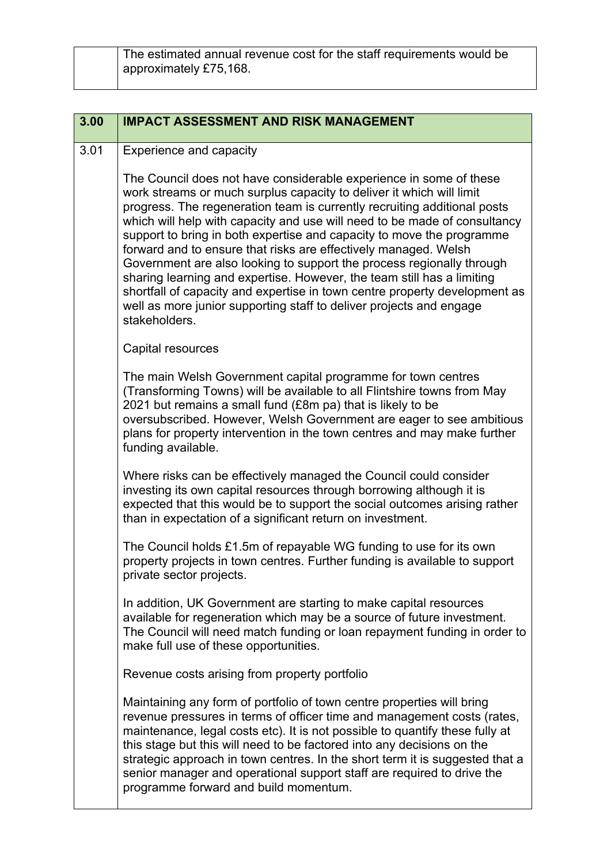| The estimated annual revenue cost for the staff requirements would be |
|-----------------------------------------------------------------------|
| approximately £75,168.                                                |
|                                                                       |

| 3.00 | <b>IMPACT ASSESSMENT AND RISK MANAGEMENT</b>                                                                                                                                                                                                                                                                                                                                                                                                                                                                                                                                                                                                                                                                                                                             |
|------|--------------------------------------------------------------------------------------------------------------------------------------------------------------------------------------------------------------------------------------------------------------------------------------------------------------------------------------------------------------------------------------------------------------------------------------------------------------------------------------------------------------------------------------------------------------------------------------------------------------------------------------------------------------------------------------------------------------------------------------------------------------------------|
| 3.01 | <b>Experience and capacity</b>                                                                                                                                                                                                                                                                                                                                                                                                                                                                                                                                                                                                                                                                                                                                           |
|      | The Council does not have considerable experience in some of these<br>work streams or much surplus capacity to deliver it which will limit<br>progress. The regeneration team is currently recruiting additional posts<br>which will help with capacity and use will need to be made of consultancy<br>support to bring in both expertise and capacity to move the programme<br>forward and to ensure that risks are effectively managed. Welsh<br>Government are also looking to support the process regionally through<br>sharing learning and expertise. However, the team still has a limiting<br>shortfall of capacity and expertise in town centre property development as<br>well as more junior supporting staff to deliver projects and engage<br>stakeholders. |
|      | Capital resources                                                                                                                                                                                                                                                                                                                                                                                                                                                                                                                                                                                                                                                                                                                                                        |
|      | The main Welsh Government capital programme for town centres<br>(Transforming Towns) will be available to all Flintshire towns from May<br>2021 but remains a small fund (£8m pa) that is likely to be<br>oversubscribed. However, Welsh Government are eager to see ambitious<br>plans for property intervention in the town centres and may make further<br>funding available.                                                                                                                                                                                                                                                                                                                                                                                         |
|      | Where risks can be effectively managed the Council could consider<br>investing its own capital resources through borrowing although it is<br>expected that this would be to support the social outcomes arising rather<br>than in expectation of a significant return on investment.                                                                                                                                                                                                                                                                                                                                                                                                                                                                                     |
|      | The Council holds £1.5m of repayable WG funding to use for its own<br>property projects in town centres. Further funding is available to support<br>private sector projects.                                                                                                                                                                                                                                                                                                                                                                                                                                                                                                                                                                                             |
|      | In addition, UK Government are starting to make capital resources<br>available for regeneration which may be a source of future investment.<br>The Council will need match funding or loan repayment funding in order to<br>make full use of these opportunities.                                                                                                                                                                                                                                                                                                                                                                                                                                                                                                        |
|      | Revenue costs arising from property portfolio                                                                                                                                                                                                                                                                                                                                                                                                                                                                                                                                                                                                                                                                                                                            |
|      | Maintaining any form of portfolio of town centre properties will bring<br>revenue pressures in terms of officer time and management costs (rates,<br>maintenance, legal costs etc). It is not possible to quantify these fully at<br>this stage but this will need to be factored into any decisions on the<br>strategic approach in town centres. In the short term it is suggested that a<br>senior manager and operational support staff are required to drive the<br>programme forward and build momentum.                                                                                                                                                                                                                                                           |